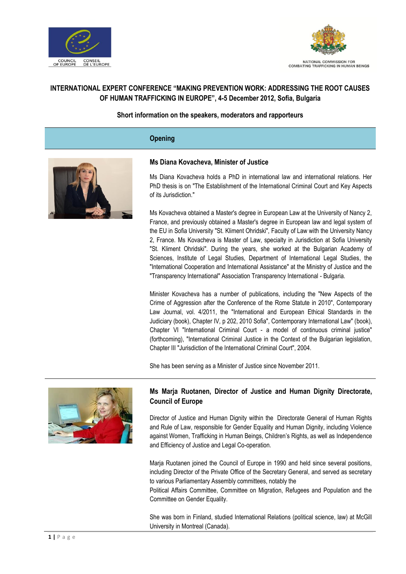



# **INTERNATIONAL EXPERT CONFERENCE "MAKING PREVENTION WORK: ADDRESSING THE ROOT CAUSES OF HUMAN TRAFFICKING IN EUROPE", 4-5 December 2012, Sofia, Bulgaria**

### **Short information on the speakers, moderators and rapporteurs**

# **Opening**



#### **Ms Diana Kovacheva, Minister of Justice**

Ms Diana Kovacheva holds a PhD in international law and international relations. Her PhD thesis is on "The Establishment of the International Criminal Court and Key Aspects of its Jurisdiction."

Ms Kovacheva obtained a Master's degree in European Law at the University of Nancy 2, France, and previously obtained a Master's degree in European law and legal system of the EU in Sofia University "St. Kliment Ohridski", Faculty of Law with the University Nancy 2, France. Ms Kovacheva is Master of Law, specialty in Jurisdiction at Sofia University "St. Kliment Ohridski". During the years, she worked at the Bulgarian Academy of Sciences, Institute of Legal Studies, Department of International Legal Studies, the "International Cooperation and International Assistance" at the Ministry of Justice and the "Transparency International" Association Transparency International - Bulgaria.

Minister Kovacheva has a number of publications, including the "New Aspects of the Crime of Aggression after the Conference of the Rome Statute in 2010", Contemporary Law Journal, vol. 4/2011, the "International and European Ethical Standards in the Judiciary (book), Chapter IV, p 202, 2010 Sofia", Contemporary International Law" (book), Chapter VI "International Criminal Court - a model of continuous criminal justice" (forthcoming), "International Criminal Justice in the Context of the Bulgarian legislation, Chapter III "Jurisdiction of the International Criminal Court", 2004.

She has been serving as a Minister of Justice since November 2011.



# **Ms Marja Ruotanen, Director of Justice and Human Dignity Directorate, Council of Europe**

Director of Justice and Human Dignity within the Directorate General of Human Rights and Rule of Law, responsible for Gender Equality and Human Dignity, including Violence against Women, Trafficking in Human Beings, Children's Rights, as well as Independence and Efficiency of Justice and Legal Co-operation.

Marja Ruotanen joined the Council of Europe in 1990 and held since several positions, including Director of the Private Office of the Secretary General, and served as secretary to various Parliamentary Assembly committees, notably the

Political Affairs Committee, Committee on Migration, Refugees and Population and the Committee on Gender Equality.

She was born in Finland, studied International Relations (political science, law) at McGill University in Montreal (Canada).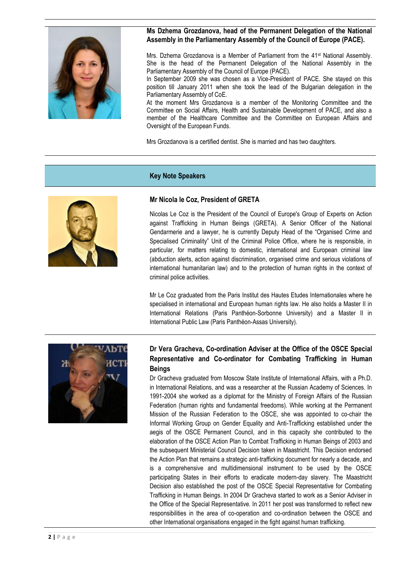

#### **Ms Dzhema Grozdanova, head of the Permanent Delegation of the National Assembly in the Parliamentary Assembly of the Council of Europe (PACE).**

Mrs. Dzhema Grozdanova is a Member of Parliament from the 41st National Assembly. She is the head of the Permanent Delegation of the National Assembly in the Parliamentary Assembly of the Council of Europe (PACE).

In September 2009 she was chosen as a Vice-President of PACE. She stayed on this position till January 2011 when she took the lead of the Bulgarian delegation in the Parliamentary Assembly of CoE.

At the moment Mrs Grozdanova is a member of the Monitoring Committee and the Committee on Social Affairs, Health and Sustainable Development of PACE, and also a member of the Healthcare Committee and the Committee on European Affairs and Oversight of the European Funds.

Mrs Grozdanova is a certified dentist. She is married and has two daughters.

### **Key Note Speakers**



### **Mr Nicola le Coz, President of GRETA**

Nicolas Le Coz is the President of the Council of Europe's Group of Experts on Action against Trafficking in Human Beings (GRETA). A Senior Officer of the National Gendarmerie and a lawyer, he is currently Deputy Head of the "Organised Crime and Specialised Criminality" Unit of the Criminal Police Office, where he is responsible, in particular, for matters relating to domestic, international and European criminal law (abduction alerts, action against discrimination, organised crime and serious violations of international humanitarian law) and to the protection of human rights in the context of criminal police activities.

Mr Le Coz graduated from the Paris Institut des Hautes Etudes Internationales where he specialised in international and European human rights law. He also holds a Master II in International Relations (Paris Panthéon-Sorbonne University) and a Master II in International Public Law (Paris Panthéon-Assas University).



# **Dr Vera Gracheva, Co-ordination Adviser at the Office of the OSCE Special Representative and Co-ordinator for Combating Trafficking in Human Beings**

Dr Gracheva graduated from Moscow State Institute of International Affairs, with a Ph.D. in International Relations, and was a researcher at the Russian Academy of Sciences. In 1991-2004 she worked as a diplomat for the Ministry of Foreign Affairs of the Russian Federation (human rights and fundamental freedoms). While working at the Permanent Mission of the Russian Federation to the OSCE, she was appointed to co-chair the Informal Working Group on Gender Equality and Anti-Trafficking established under the aegis of the OSCE Permanent Council, and in this capacity she contributed to the elaboration of the OSCE Action Plan to Combat Trafficking in Human Beings of 2003 and the subsequent Ministerial Council Decision taken in Maastricht. This Decision endorsed the Action Plan that remains a strategic anti-trafficking document for nearly a decade, and is a comprehensive and multidimensional instrument to be used by the OSCE participating States in their efforts to eradicate modern-day slavery. The Maastricht Decision also established the post of the OSCE Special Representative for Combating Trafficking in Human Beings. In 2004 Dr Gracheva started to work as a Senior Adviser in the Office of the Special Representative. In 2011 her post was transformed to reflect new responsibilities in the area of co-operation and co-ordination between the OSCE and other International organisations engaged in the fight against human trafficking.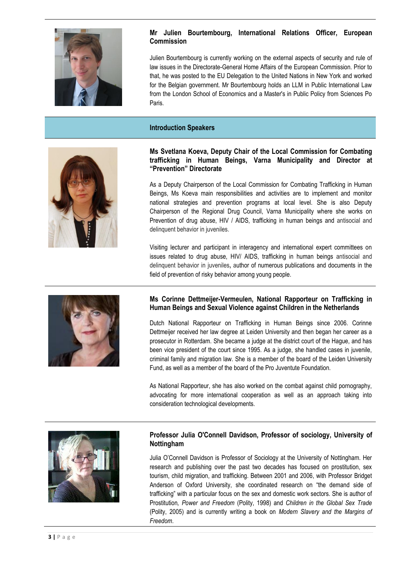

# **Mr Julien Bourtembourg, International Relations Officer, European Commission**

Julien Bourtembourg is currently working on the external aspects of security and rule of law issues in the Directorate-General Home Affairs of the European Commission. Prior to that, he was posted to the EU Delegation to the United Nations in New York and worked for the Belgian government. Mr Bourtembourg holds an LLM in Public International Law from the London School of Economics and a Master's in Public Policy from Sciences Po Paris.

#### **Introduction Speakers**



#### **Ms Svetlana Koeva, Deputy Chair of the Local Commission for Combating trafficking in Human Beings, Varna Municipality and Director at "Prevention" Directorate**

As a Deputy Chairperson of the Local Commission for Combating Trafficking in Human Beings, Ms Koeva main responsibilities and activities are to implement and monitor national strategies and prevention programs at local level. She is also Deputy Chairperson of the Regional Drug Council, Varna Municipality where she works on Prevention of drug abuse, HIV / AIDS, trafficking in human beings and antisocial and delinquent behavior in juveniles.

Visiting lecturer and participant in interagency and international expert committees on issues related to drug abuse, HIV/ AIDS, trafficking in human beings antisocial and delinquent behavior in juveniles**,** author of numerous publications and documents in the field of prevention of risky behavior among young people.



### **Ms Corinne Dettmeijer-Vermeulen, National Rapporteur on Trafficking in Human Beings and Sexual Violence against Children in the Netherlands**

Dutch National Rapporteur on Trafficking in Human Beings since 2006. Corinne Dettmeijer received her law degree at Leiden University and then began her career as a prosecutor in Rotterdam. She became a judge at the district court of the Hague, and has been vice president of the court since 1995. As a judge, she handled cases in juvenile, criminal family and migration law. She is a member of the board of the Leiden University Fund, as well as a member of the board of the Pro Juventute Foundation.

As National Rapporteur, she has also worked on the combat against child pornography, advocating for more international cooperation as well as an approach taking into consideration technological developments.



### **Professor Julia O'Connell Davidson, Professor of sociology, University of Nottingham**

Julia O'Connell Davidson is Professor of Sociology at the University of Nottingham. Her research and publishing over the past two decades has focused on prostitution, sex tourism, child migration, and trafficking. Between 2001 and 2006, with Professor Bridget Anderson of Oxford University, she coordinated research on "the demand side of trafficking" with a particular focus on the sex and domestic work sectors. She is author of Prostitution*, Power and Freedom* (Polity, 1998) and *Children in the Global Sex Trade* (Polity, 2005) and is currently writing a book on *Modern Slavery and the Margins of Freedom*.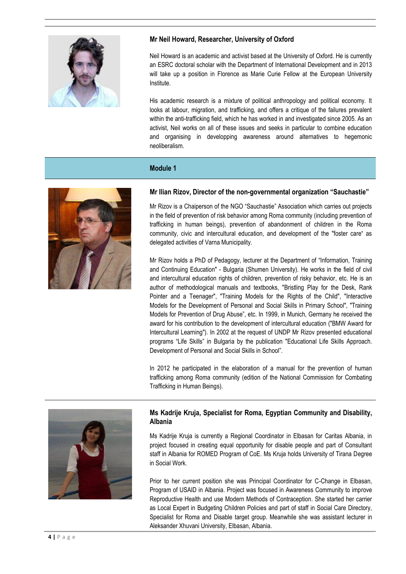

# **Mr Neil Howard, Researcher, University of Oxford**

Neil Howard is an academic and activist based at the University of Oxford. He is currently an ESRC doctoral scholar with the Department of International Development and in 2013 will take up a position in Florence as Marie Curie Fellow at the European University Institute.

His academic research is a mixture of political anthropology and political economy. It looks at labour, migration, and trafficking, and offers a critique of the failures prevalent within the anti-trafficking field, which he has worked in and investigated since 2005. As an activist, Neil works on all of these issues and seeks in particular to combine education and organising in developping awareness around alternatives to hegemonic neoliberalism.

# **Module 1**



### **Mr Ilian Rizov, Director of the non-governmental organization "Sauchastie"**

Mr Rizov is a Chaiperson of the NGO "Sauchastie" Association which carries out projects in the field of prevention of risk behavior among Roma community (including prevention of trafficking in human beings), prevention of abandonment of children in the Roma community, civic and intercultural education, and development of the "foster care" as delegated activities of Varna Municipality.

Mr Rizov holds a PhD of Pedagogy, lecturer at the Department of "Information, Training and Continuing Education" - Bulgaria (Shumen University). He works in the field of civil and intercultural education rights of children, prevention of risky behavior, etc. He is an author of methodological manuals and textbooks, "Bristling Play for the Desk, Rank Pointer and a Teenager", "Training Models for the Rights of the Child", "Interactive Models for the Development of Personal and Social Skills in Primary School", "Training Models for Prevention of Drug Abuse", etc. In 1999, in Munich, Germany he received the award for his contribution to the development of intercultural education ("BMW Award for Intercultural Learning"). In 2002 at the request of UNDP Mr Rizov presented educational programs "Life Skills" in Bulgaria by the publication "Educational Life Skills Approach. Development of Personal and Social Skills in School".

In 2012 he participated in the elaboration of a manual for the prevention of human trafficking among Roma community (edition of the National Commission for Combating Trafficking in Human Beings).



### **Ms Kadrije Kruja, Specialist for Roma, Egyptian Community and Disability, Albania**

Ms Kadrije Kruja is currently a Regional Coordinator in Elbasan for Caritas Albania, in project focused in creating equal opportunity for disable people and part of Consultant staff in Albania for ROMED Program of CoE. Ms Kruja holds University of Tirana Degree in Social Work.

Prior to her current position she was Principal Coordinator for C-Change in Elbasan, Program of USAID in Albania. Project was focused in Awareness Community to improve Reproductive Health and use Modern Methods of Contraception. She started her carrier as Local Expert in Budgeting Children Policies and part of staff in Social Care Directory, Specialist for Roma and Disable target group. Meanwhile she was assistant lecturer in Aleksander Xhuvani University, Elbasan, Albania.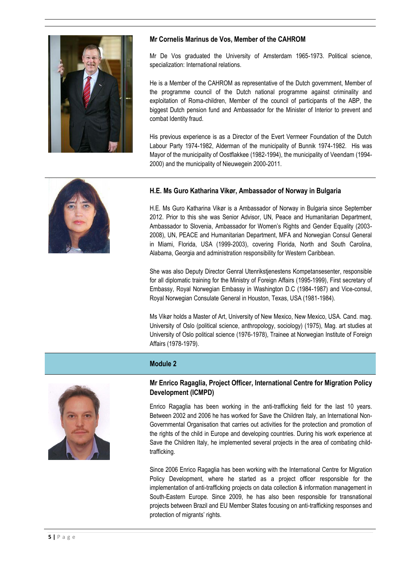

### **Mr Cornelis Marinus de Vos, Member of the CAHROM**

Mr De Vos graduated the University of Amsterdam 1965-1973. Political science, specialization: International relations.

He is a Member of the CAHROM as representative of the Dutch government, Member of the programme council of the Dutch national programme against criminality and exploitation of Roma-children, Member of the council of participants of the ABP, the biggest Dutch pension fund and Ambassador for the Minister of Interior to prevent and combat Identity fraud.

His previous experience is as a Director of the Evert Vermeer Foundation of the Dutch Labour Party 1974-1982, Alderman of the municipality of Bunnik 1974-1982. His was Mayor of the municipality of Oostflakkee (1982-1994), the municipality of Veendam (1994- 2000) and the municipality of Nieuwegein 2000-2011.



# **H.E. Ms Guro Katharina Vikør, Ambassador of Norway in Bulgaria**

H.E. Ms Guro Katharina Vikør is a Ambassador of Norway in Bulgaria since September 2012. Prior to this she was Senior Advisor, UN, Peace and Humanitarian Department, Ambassador to Slovenia, Ambassador for Women's Rights and Gender Equality (2003- 2008), UN, PEACE and Humanitarian Department, MFA and Norwegian Consul General in Miami, Florida, USA (1999-2003), covering Florida, North and South Carolina, Alabama, Georgia and administration responsibility for Western Caribbean.

She was also Deputy Director Genral Utenrikstjenestens Kompetansesenter, responsible for all diplomatic training for the Ministry of Foreign Affairs (1995-1999), First secretary of Embassy, Royal Norwegian Embassy in Washington D.C (1984-1987) and Vice-consul, Royal Norwegian Consulate General in Houston, Texas, USA (1981-1984).

Ms Vikør holds a Master of Art, University of New Mexico, New Mexico, USA. Cand. mag. University of Oslo (political science, anthropology, sociology) (1975), Mag. art studies at University of Oslo political science (1976-1978), Trainee at Norwegian Institute of Foreign Affairs (1978-1979).

# **Module 2**



### **Mr Enrico Ragaglia, Project Officer, International Centre for Migration Policy Development (ICMPD)**

Enrico Ragaglia has been working in the anti-trafficking field for the last 10 years. Between 2002 and 2006 he has worked for Save the Children Italy, an International Non-Governmental Organisation that carries out activities for the protection and promotion of the rights of the child in Europe and developing countries. During his work experience at Save the Children Italy, he implemented several projects in the area of combating childtrafficking.

Since 2006 Enrico Ragaglia has been working with the International Centre for Migration Policy Development, where he started as a project officer responsible for the implementation of anti-trafficking projects on data collection & information management in South-Eastern Europe. Since 2009, he has also been responsible for transnational projects between Brazil and EU Member States focusing on anti-trafficking responses and protection of migrants' rights.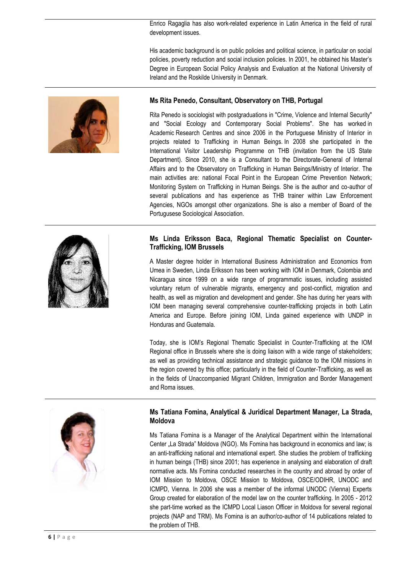Enrico Ragaglia has also work-related experience in Latin America in the field of rural development issues.

His academic background is on public policies and political science, in particular on social policies, poverty reduction and social inclusion policies. In 2001, he obtained his Master's Degree in European Social Policy Analysis and Evaluation at the National University of Ireland and the Roskilde University in Denmark.



#### **Ms Rita Penedo, Consultant, Observatory on THB, Portugal**

Rita Penedo is sociologist with postgraduations in "Crime, Violence and Internal Security" and "Social Ecology and Contemporary Social Problems". She has worked in Academic Research Centres and since 2006 in the Portuguese Ministry of Interior in projects related to Trafficking in Human Beings. In 2008 she participated in the International Visitor Leadership Programme on THB (invitation from the US State Department). Since 2010, she is a Consultant to the Directorate-General of Internal Affairs and to the Observatory on Trafficking in Human Beings/Ministry of Interior. The main activities are: national Focal Point in the European Crime Prevention Network; Monitoring System on Trafficking in Human Beings. She is the author and co-author of several publications and has experience as THB trainer within Law Enforcement Agencies, NGOs amongst other organizations. She is also a member of Board of the Portugusese Sociological Association.

### **Ms Linda Eriksson Baca, Regional Thematic Specialist on Counter-Trafficking, IOM Brussels**

A Master degree holder in International Business Administration and Economics from Umea in Sweden, Linda Eriksson has been working with IOM in Denmark, Colombia and Nicaragua since 1999 on a wide range of programmatic issues, including assisted voluntary return of vulnerable migrants, emergency and post-conflict, migration and health, as well as migration and development and gender. She has during her years with IOM been managing several comprehensive counter-trafficking projects in both Latin America and Europe. Before joining IOM, Linda gained experience with UNDP in Honduras and Guatemala.

Today, she is IOM's Regional Thematic Specialist in Counter-Trafficking at the IOM Regional office in Brussels where she is doing liaison with a wide range of stakeholders; as well as providing technical assistance and strategic guidance to the IOM missions in the region covered by this office; particularly in the field of Counter-Trafficking, as well as in the fields of Unaccompanied Migrant Children, Immigration and Border Management and Roma issues.



### **Ms Tatiana Fomina, Analytical & Juridical Department Manager, La Strada, Moldova**

Ms Tatiana Fomina is a Manager of the Analytical Department within the International Center "La Strada" Moldova (NGO). Ms Fomina has background in economics and law; is an anti-trafficking national and international expert. She studies the problem of trafficking in human beings (THB) since 2001; has experience in analysing and elaboration of draft normative acts. Ms Fomina conducted researches in the country and abroad by order of IOM Mission to Moldova, OSCE Mission to Moldova, OSCE/ODIHR, UNODC and ICMPD, Vienna. In 2006 she was a member of the informal UNODC (Vienna) Experts Group created for elaboration of the model law on the counter trafficking. In 2005 - 2012 she part-time worked as the ICMPD Local Liason Officer in Moldova for several regional projects (NAP and TRM). Ms Fomina is an author/co-author of 14 publications related to the problem of THB.

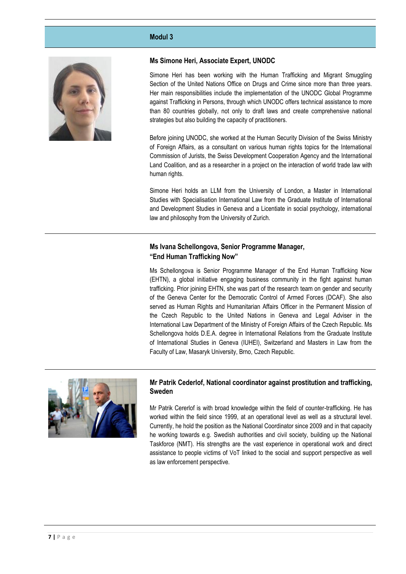#### **Modul 3**



#### **Ms Simone Heri, Associate Expert, UNODC**

Simone Heri has been working with the Human Trafficking and Migrant Smuggling Section of the United Nations Office on Drugs and Crime since more than three years. Her main responsibilities include the implementation of the UNODC Global Programme against Trafficking in Persons, through which UNODC offers technical assistance to more than 80 countries globally, not only to draft laws and create comprehensive national strategies but also building the capacity of practitioners.

Before joining UNODC, she worked at the Human Security Division of the Swiss Ministry of Foreign Affairs, as a consultant on various human rights topics for the International Commission of Jurists, the Swiss Development Cooperation Agency and the International Land Coalition, and as a researcher in a project on the interaction of world trade law with human rights.

Simone Heri holds an LLM from the University of London, a Master in International Studies with Specialisation International Law from the Graduate Institute of International and Development Studies in Geneva and a Licentiate in social psychology, international law and philosophy from the University of Zurich.

### **Ms Ivana Schellongova, Senior Programme Manager, "End Human Trafficking Now"**

Ms Schellongova is Senior Programme Manager of the End Human Trafficking Now (EHTN), a global initiative engaging business community in the fight against human trafficking. Prior joining EHTN, she was part of the research team on gender and security of the Geneva Center for the Democratic Control of Armed Forces (DCAF). She also served as Human Rights and Humanitarian Affairs Officer in the Permanent Mission of the Czech Republic to the United Nations in Geneva and Legal Adviser in the International Law Department of the Ministry of Foreign Affairs of the Czech Republic. Ms Schellongova holds D.E.A. degree in International Relations from the Graduate Institute of International Studies in Geneva (IUHEI), Switzerland and Masters in Law from the Faculty of Law, Masaryk University, Brno, Czech Republic.



#### **Mr Patrik Cederlof, National coordinator against prostitution and trafficking, Sweden**

Mr Patrik Cererlof is with broad knowledge within the field of counter-trafficking. He has worked within the field since 1999, at an operational level as well as a structural level. Currently, he hold the position as the National Coordinator since 2009 and in that capacity he working towards e.g. Swedish authorities and civil society, building up the National Taskforce (NMT). His strengths are the vast experience in operational work and direct assistance to people victims of VoT linked to the social and support perspective as well as law enforcement perspective.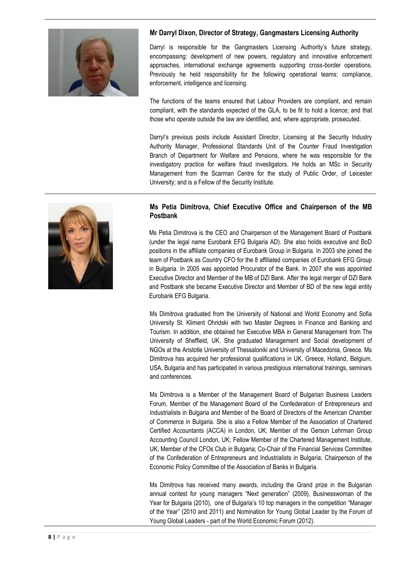

# **Mr Darryl Dixon, Director of Strategy, Gangmasters Licensing Authority**

Darryl is responsible for the Gangmasters Licensing Authority's future strategy, encompassing: development of new powers, regulatory and innovative enforcement approaches, international exchange agreements supporting cross-border operations. Previously he held responsibility for the following operational teams: compliance, enforcement, intelligence and licensing.

The functions of the teams ensured that Labour Providers are compliant, and remain compliant, with the standards expected of the GLA, to be fit to hold a licence; and that those who operate outside the law are identified, and, where appropriate, prosecuted.

Darryl's previous posts include Assistant Director, Licensing at the Security Industry Authority Manager, Professional Standards Unit of the Counter Fraud Investigation Branch of Department for Welfare and Pensions, where he was responsible for the investigatory practice for welfare fraud investigators. He holds an MSc in Security Management from the Scarman Centre for the study of Public Order, of Leicester University; and is a Fellow of the Security Institute.



### **Ms Petia Dimitrova, Chief Executive Office and Chairperson of the MB Postbank**

Ms Petia Dimitrova is the CEO and Chairperson of the Management Board of Postbank (under the legal name Eurobank EFG Bulgaria AD). She also holds executive and BoD positions in the affiliate companies of Eurobank Group in Bulgaria. In 2003 she joined the team of Postbank as Country CFO for the 8 affiliated companies of Eurobank EFG Group in Bulgaria. In 2005 was appointed Procurator of the Bank. In 2007 she was appointed Executive Director and Member of the MB of DZI Bank. After the legal merger of DZI Bank and Postbank she became Executive Director and Member of BD of the new legal entity Eurobank EFG Bulgaria.

Ms Dimitrova graduated from the University of National and World Economy and Sofia University St. Kliment Ohridski with two Master Degrees in Finance and Banking and Tourism. In addition, she obtained her Executive MBA in General Management from The University of Sheffield, UK. She graduated Management and Social development of NGOs at the Aristotle University of Thessaloniki and University of Macedonia, Greece. Ms Dimitrova has acquired her professional qualifications in UK, Greece, Holland, Belgium, USA, Bulgaria and has participated in various prestigious international trainings, seminars and conferences.

Ms Dimitrova is a Member of the Management Board of Bulgarian Business Leaders Forum, Member of the Management Board of the Confederation of Entrepreneurs and Industrialists in Bulgaria and Member of the Board of Directors of the American Chamber of Commerce in Bulgaria. She is also a Fellow Member of the Association of Chartered Certified Accountants (ACCA) in London, UK; Member of the Gerson Lehrman Group Accounting Council London, UK; Fellow Member of the Chartered Management Institute, UK; Member of the CFOs Club in Bulgaria; Co-Chair of the Financial Services Committee of the Confederation of Entrepreneurs and Industrialists in Bulgaria; Chairperson of the Economic Policy Committee of the Association of Banks in Bulgaria.

Ms Dimitrova has received many awards, including the Grand prize in the Bulgarian annual contest for young managers "Next generation" (2009), Businesswoman of the Year for Bulgaria (2010), one of Bulgaria's 10 top managers in the competition "Manager of the Year" (2010 and 2011) and Nomination for Young Global Leader by the Forum of Young Global Leaders - part of the World Economic Forum (2012).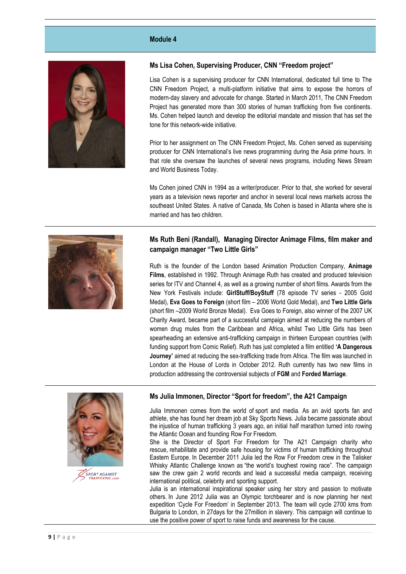#### **Module 4**



#### **Ms Lisa Cohen, Supervising Producer, CNN "Freedom project"**

Lisa Cohen is a supervising producer for CNN International, dedicated full time to The CNN Freedom Project, a multi-platform initiative that aims to expose the horrors of modern-day slavery and advocate for change. Started in March 2011, The CNN Freedom Project has generated more than 300 stories of human trafficking from five continents. Ms. Cohen helped launch and develop the editorial mandate and mission that has set the tone for this network-wide initiative.

Prior to her assignment on The CNN Freedom Project, Ms. Cohen served as supervising producer for CNN International's live news programming during the Asia prime hours. In that role she oversaw the launches of several news programs, including News Stream and World Business Today.

Ms Cohen joined CNN in 1994 as a writer/producer. Prior to that, she worked for several years as a television news reporter and anchor in several local news markets across the southeast United States. A native of Canada, Ms Cohen is based in Atlanta where she is married and has two children.

# **Ms Ruth Beni (Randall), Managing Director Animage Films, film maker and campaign manager "Two Little Girls"**

Ruth is the founder of the London based Animation Production Company, **Animage Films**, established in 1992. Through Animage Ruth has created and produced television series for ITV and Channel 4, as well as a growing number of short films. Awards from the New York Festivals include: **GirlStuff/BoyStuff** (78 episode TV series - 2005 Gold Medal), **Eva Goes to Foreign** (short film – 2006 World Gold Medal), and **Two Little Girls** (short film –2009 World Bronze Medal). Eva Goes to Foreign, also winner of the 2007 UK Charity Award, became part of a successful campaign aimed at reducing the numbers of women drug mules from the Caribbean and Africa, whilst Two Little Girls has been spearheading an extensive anti-trafficking campaign in thirteen European countries (with funding support from Comic Relief). Ruth has just completed a film entitled **'A Dangerous Journey'** aimed at reducing the sex-trafficking trade from Africa. The film was launched in London at the House of Lords in October 2012. Ruth currently has two new films in production addressing the controversial subjects of **FGM** and **Forded Marriage**.





**Ms Julia Immonen, Director "Sport for freedom", the A21 Campaign**

Julia Immonen comes from the world of sport and media. As an avid sports fan and athlete, she has found her dream job at Sky Sports News. Julia became passionate about the injustice of human trafficking 3 years ago, an initial half marathon turned into rowing the Atlantic Ocean and founding Row For Freedom.

She is the Director of Sport For Freedom for The A21 Campaign charity who rescue, rehabilitate and provide safe housing for victims of human trafficking throughout Eastern Europe. In December 2011 Julia led the Row For Freedom crew in the Talisker Whisky Atlantic Challenge known as "the world's toughest rowing race". The campaign saw the crew gain 2 world records and lead a successful media campaign, receiving international political, celebrity and sporting support.

Julia is an international inspirational speaker using her story and passion to motivate others. In June 2012 Julia was an Olympic torchbearer and is now planning her next expedition 'Cycle For Freedom' in September 2013. The team will cycle 2700 kms from Bulgaria to London, in 27days for the 27million in slavery. This campaign will continue to use the positive power of sport to raise funds and awareness for the cause.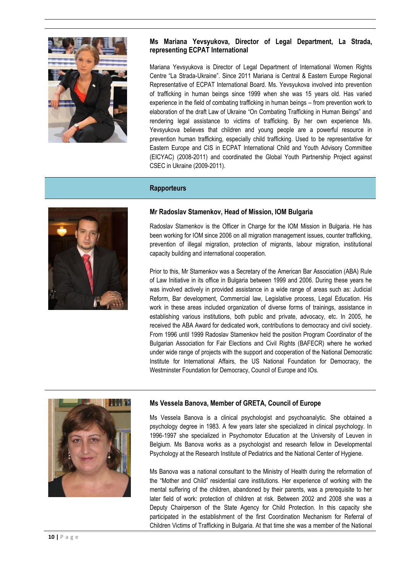

# **Ms Mariana Yevsyukova, Director of Legal Department, La Strada, representing ECPAT International**

Mariana Yevsyukova is Director of Legal Department of International Women Rights Centre "La Strada-Ukraine". Since 2011 Mariana is Central & Eastern Europe Regional Representative of ECPAT International Board. Ms. Yevsyukova involved into prevention of trafficking in human beings since 1999 when she was 15 years old. Has varied experience in the field of combating trafficking in human beings – from prevention work to elaboration of the draft Law of Ukraine "On Combating Trafficking in Human Beings" and rendering legal assistance to victims of trafficking. By her own experience Ms. Yevsyukova believes that children and young people are a powerful resource in prevention human trafficking, especially child trafficking. Used to be representative for Eastern Europe and CIS in ECPAT International Child and Youth Advisory Committee (EICYAC) (2008-2011) and coordinated the Global Youth Partnership Project against CSEC in Ukraine (2009-2011).

# **Rapporteurs**



#### **Mr Radoslav Stamenkov, Head of Mission, IOM Bulgaria**

Radoslav Stamenkov is the Officer in Charge for the IOM Mission in Bulgaria. He has been working for IOM since 2006 on all migration management issues, counter trafficking, prevention of illegal migration, protection of migrants, labour migration, institutional capacity building and international cooperation.

Prior to this, Mr Stamenkov was a Secretary of the American Bar Association (ABA) Rule of Law Initiative in its office in Bulgaria between 1999 and 2006. During these years he was involved actively in provided assistance in a wide range of areas such as: Judicial Reform, Bar development, Commercial law, Legislative process, Legal Education. His work in these areas included organization of diverse forms of trainings, assistance in establishing various institutions, both public and private, advocacy, etc. In 2005, he received the ABA Award for dedicated work, contributions to democracy and civil society. From 1996 until 1999 Radoslav Stamenkov held the position Program Coordinator of the Bulgarian Association for Fair Elections and Civil Rights (BAFECR) where he worked under wide range of projects with the support and cooperation of the National Democratic Institute for International Affairs, the US National Foundation for Democracy, the Westminster Foundation for Democracy, Council of Europe and IOs.



#### **Ms Vessela Banova, Member of GRETA, Council of Europe**

Ms Vessela Banova is a clinical psychologist and psychoanalytic. She obtained a psychology degree in 1983. A few years later she specialized in clinical psychology. In 1996-1997 she specialized in Psychomotor Education at the University of Leuven in Belgium. Ms Banova works as a psychologist and research fellow in Developmental Psychology at the Research Institute of Pediatrics and the National Center of Hygiene.

Ms Banova was a national consultant to the Ministry of Health during the reformation of the "Mother and Child" residential care institutions. Her experience of working with the mental suffering of the children, abandoned by their parents, was a prerequisite to her later field of work: protection of children at risk. Between 2002 and 2008 she was a Deputy Chairperson of the State Agency for Child Protection. In this capacity she participated in the establishment of the first Coordination Mechanism for Referral of Children Victims of Trafficking in Bulgaria. At that time she was a member of the National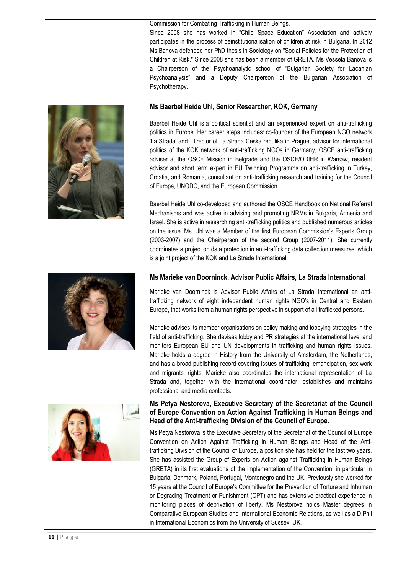Commission for Combating Trafficking in Human Beings. Since 2008 she has worked in "Child Space Education" Association and actively participates in the process of deinstitutionalisation of children at risk in Bulgaria. In 2012 Ms Banova defended her PhD thesis in Sociology on "Social Policies for the Protection of Children at Risk." Since 2008 she has been a member of GRETA. Ms Vessela Banova is a Chairperson of the Psychoanalytic school of "Bulgarian Society for Lacanian Psychoanalysis" and a Deputy Chairperson of the Bulgarian Association of Psychotherapy.



#### **Ms Baerbel Heide Uhl, Senior Researcher, KOK, Germany**

Baerbel Heide Uhl is a political scientist and an experienced expert on anti-trafficking politics in Europe. Her career steps includes: co-founder of the European NGO network 'La Strada' and Director of La Strada Ceska repulika in Prague, advisor for international politics of the KOK network of anti-trafficking NGOs in Germany, OSCE anti-trafficking adviser at the OSCE Mission in Belgrade and the OSCE/ODIHR in Warsaw, resident advisor and short term expert in EU Twinning Programms on anti-trafficking in Turkey, Croatia, and Romania, consultant on anti-trafficking research and training for the Council of Europe, UNODC, and the European Commission.

Baerbel Heide Uhl co-dеveloped and authored the OSCE Handbook on National Referral Mechanisms and was active in advising and promoting NRMs in Bulgaria, Armenia and Israel. She is active in researching anti-trafficking politics and published numerous articles on the issue. Ms. Uhl was a Member of the first European Commission's Experts Group (2003-2007) and the Chairperson of the second Group (2007-2011). She currently coordinates a project on data protection in anti-trafficking data collection measures, which is a joint project of the KOK and La Strada International.



#### **Ms Marieke van Doorninck, Advisor Public Affairs, La Strada International**

Marieke van Doorninck is Advisor Public Affairs of La Strada International, an antitrafficking network of eight independent human rights NGO's in Central and Eastern Europe, that works from a human rights perspective in support of all trafficked persons.

Marieke advises its member organisations on policy making and lobbying strategies in the field of anti-trafficking. She devises lobby and PR strategies at the international level and monitors European EU and UN developments in trafficking and human rights issues. Marieke holds a degree in History from the University of Amsterdam, the Netherlands, and has a broad publishing record covering issues of trafficking, emancipation, sex work and migrants' rights. Marieke also coordinates the international representation of La Strada and, together with the international coordinator, establishes and maintains professional and media contacts.



#### **Ms Petya Nestorova, Executive Secretary of the Secretariat of the Council of Europe Convention on Action Against Trafficking in Human Beings and Head of the Anti-trafficking Division of the Council of Europe.**

Ms Petya Nestorova is the Executive Secretary of the Secretariat of the Council of Europe Convention on Action Against Trafficking in Human Beings and Head of the Antitrafficking Division of the Council of Europe, a position she has held for the last two years. She has assisted the Group of Experts on Action against Trafficking in Human Beings (GRETA) in its first evaluations of the implementation of the Convention, in particular in Bulgaria, Denmark, Poland, Portugal, Montenegro and the UK. Previously she worked for 15 years at the Council of Europe's Committee for the Prevention of Torture and Inhuman or Degrading Treatment or Punishment (CPT) and has extensive practical experience in monitoring places of deprivation of liberty. Ms Nestorova holds Master degrees in Comparative European Studies and International Economic Relations, as well as a D.Phil in International Economics from the University of Sussex, UK.